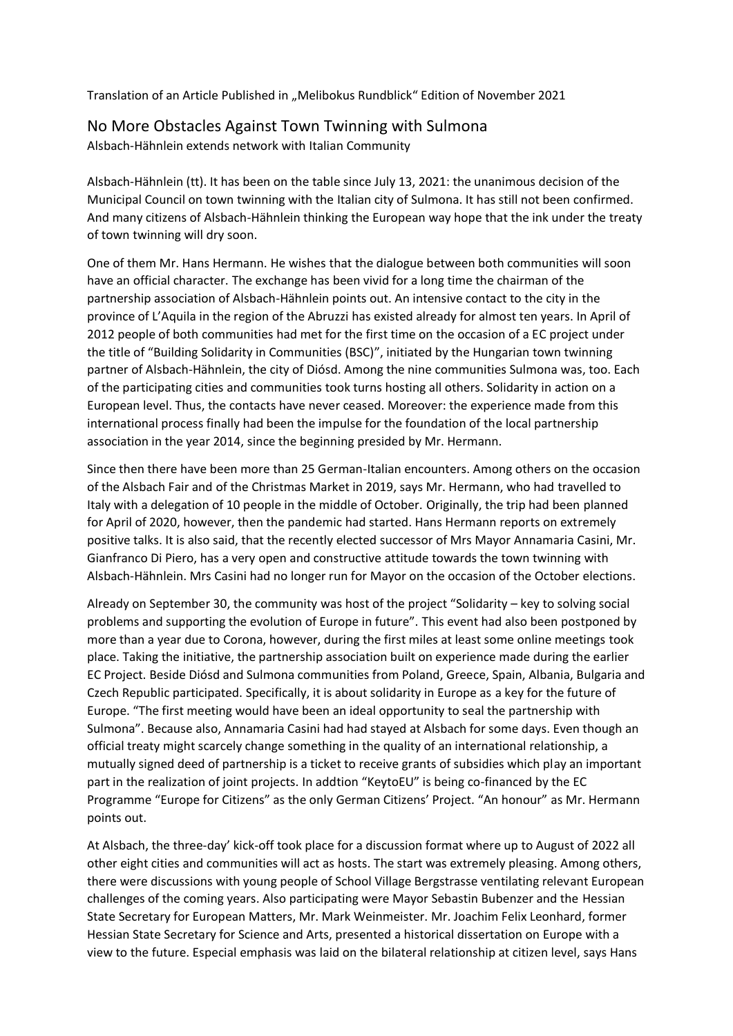Translation of an Article Published in "Melibokus Rundblick" Edition of November 2021

## No More Obstacles Against Town Twinning with Sulmona

Alsbach-Hähnlein extends network with Italian Community

Alsbach-Hähnlein (tt). It has been on the table since July 13, 2021: the unanimous decision of the Municipal Council on town twinning with the Italian city of Sulmona. It has still not been confirmed. And many citizens of Alsbach-Hähnlein thinking the European way hope that the ink under the treaty of town twinning will dry soon.

One of them Mr. Hans Hermann. He wishes that the dialogue between both communities will soon have an official character. The exchange has been vivid for a long time the chairman of the partnership association of Alsbach-Hähnlein points out. An intensive contact to the city in the province of L'Aquila in the region of the Abruzzi has existed already for almost ten years. In April of 2012 people of both communities had met for the first time on the occasion of a EC project under the title of "Building Solidarity in Communities (BSC)", initiated by the Hungarian town twinning partner of Alsbach-Hähnlein, the city of Diósd. Among the nine communities Sulmona was, too. Each of the participating cities and communities took turns hosting all others. Solidarity in action on a European level. Thus, the contacts have never ceased. Moreover: the experience made from this international process finally had been the impulse for the foundation of the local partnership association in the year 2014, since the beginning presided by Mr. Hermann.

Since then there have been more than 25 German-Italian encounters. Among others on the occasion of the Alsbach Fair and of the Christmas Market in 2019, says Mr. Hermann, who had travelled to Italy with a delegation of 10 people in the middle of October. Originally, the trip had been planned for April of 2020, however, then the pandemic had started. Hans Hermann reports on extremely positive talks. It is also said, that the recently elected successor of Mrs Mayor Annamaria Casini, Mr. Gianfranco Di Piero, has a very open and constructive attitude towards the town twinning with Alsbach-Hähnlein. Mrs Casini had no longer run for Mayor on the occasion of the October elections.

Already on September 30, the community was host of the project "Solidarity – key to solving social problems and supporting the evolution of Europe in future". This event had also been postponed by more than a year due to Corona, however, during the first miles at least some online meetings took place. Taking the initiative, the partnership association built on experience made during the earlier EC Project. Beside Diósd and Sulmona communities from Poland, Greece, Spain, Albania, Bulgaria and Czech Republic participated. Specifically, it is about solidarity in Europe as a key for the future of Europe. "The first meeting would have been an ideal opportunity to seal the partnership with Sulmona". Because also, Annamaria Casini had had stayed at Alsbach for some days. Even though an official treaty might scarcely change something in the quality of an international relationship, a mutually signed deed of partnership is a ticket to receive grants of subsidies which play an important part in the realization of joint projects. In addtion "KeytoEU" is being co-financed by the EC Programme "Europe for Citizens" as the only German Citizens' Project. "An honour" as Mr. Hermann points out.

At Alsbach, the three-day' kick-off took place for a discussion format where up to August of 2022 all other eight cities and communities will act as hosts. The start was extremely pleasing. Among others, there were discussions with young people of School Village Bergstrasse ventilating relevant European challenges of the coming years. Also participating were Mayor Sebastin Bubenzer and the Hessian State Secretary for European Matters, Mr. Mark Weinmeister. Mr. Joachim Felix Leonhard, former Hessian State Secretary for Science and Arts, presented a historical dissertation on Europe with a view to the future. Especial emphasis was laid on the bilateral relationship at citizen level, says Hans